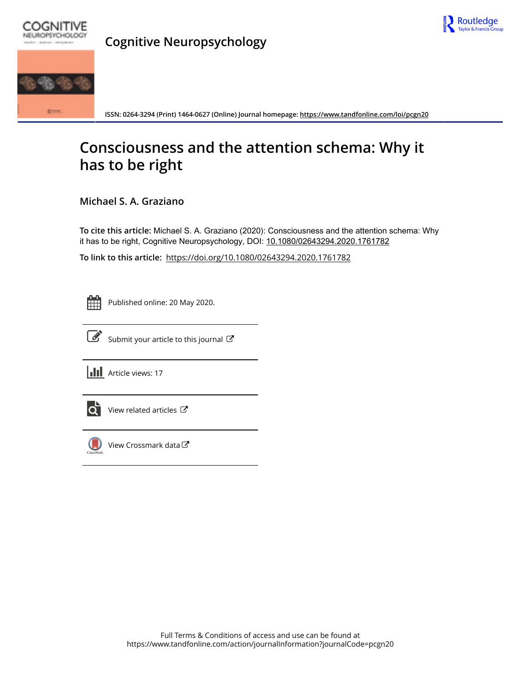



**Cognitive Neuropsychology**

**ISSN: 0264-3294 (Print) 1464-0627 (Online) Journal homepage:<https://www.tandfonline.com/loi/pcgn20>**

# **Consciousness and the attention schema: Why it has to be right**

**Michael S. A. Graziano**

**To cite this article:** Michael S. A. Graziano (2020): Consciousness and the attention schema: Why it has to be right, Cognitive Neuropsychology, DOI: [10.1080/02643294.2020.1761782](https://www.tandfonline.com/action/showCitFormats?doi=10.1080/02643294.2020.1761782)

**To link to this article:** <https://doi.org/10.1080/02643294.2020.1761782>

Published online: 20 May 2020.



 $\overrightarrow{S}$  [Submit your article to this journal](https://www.tandfonline.com/action/authorSubmission?journalCode=pcgn20&show=instructions)  $\overrightarrow{S}$ 

**III** Article views: 17



 $\overline{Q}$  [View related articles](https://www.tandfonline.com/doi/mlt/10.1080/02643294.2020.1761782)  $\overline{G}$ 



[View Crossmark data](http://crossmark.crossref.org/dialog/?doi=10.1080/02643294.2020.1761782&domain=pdf&date_stamp=2020-05-20) $\mathbb{Z}$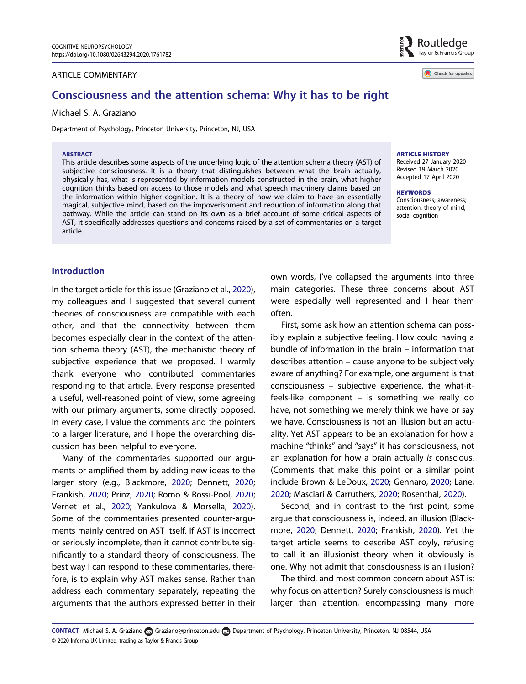#### <span id="page-1-0"></span>ARTICLE COMMENTARY

Routledge Taylor & Francis Group

Check for updates

# Consciousness and the attention schema: Why it has to be right

### Michael S. A. Graziano

Department of Psychology, Princeton University, Princeton, NJ, USA

#### **ABSTRACT**

This article describes some aspects of the underlying logic of the attention schema theory (AST) of subjective consciousness. It is a theory that distinguishes between what the brain actually, physically has, what is represented by information models constructed in the brain, what higher cognition thinks based on access to those models and what speech machinery claims based on the information within higher cognition. It is a theory of how we claim to have an essentially magical, subjective mind, based on the impoverishment and reduction of information along that pathway. While the article can stand on its own as a brief account of some critical aspects of AST, it specifically addresses questions and concerns raised by a set of commentaries on a target article.

#### ARTICLE HISTORY

Received 27 January 2020 Revised 19 March 2020 Accepted 17 April 2020

**KEYWORDS** Consciousness; awareness; attention; theory of mind; social cognition

#### Introduction

In the target article for this issue (Graziano et al., [2020\)](#page-9-0), my colleagues and I suggested that several current theories of consciousness are compatible with each other, and that the connectivity between them becomes especially clear in the context of the attention schema theory (AST), the mechanistic theory of subjective experience that we proposed. I warmly thank everyone who contributed commentaries responding to that article. Every response presented a useful, well-reasoned point of view, some agreeing with our primary arguments, some directly opposed. In every case, I value the comments and the pointers to a larger literature, and I hope the overarching discussion has been helpful to everyone.

Many of the commentaries supported our arguments or amplified them by adding new ideas to the larger story (e.g., Blackmore, [2020](#page-9-0); Dennett, [2020;](#page-9-0) Frankish, [2020](#page-9-0); Prinz, [2020;](#page-10-0) Romo & Rossi-Pool, [2020;](#page-10-0) Vernet et al., [2020](#page-10-0); Yankulova & Morsella, [2020\)](#page-10-0). Some of the commentaries presented counter-arguments mainly centred on AST itself. If AST is incorrect or seriously incomplete, then it cannot contribute significantly to a standard theory of consciousness. The best way I can respond to these commentaries, therefore, is to explain why AST makes sense. Rather than address each commentary separately, repeating the arguments that the authors expressed better in their

own words, I've collapsed the arguments into three main categories. These three concerns about AST were especially well represented and I hear them often.

First, some ask how an attention schema can possibly explain a subjective feeling. How could having a bundle of information in the brain – information that describes attention – cause anyone to be subjectively aware of anything? For example, one argument is that consciousness – subjective experience, the what-itfeels-like component – is something we really do have, not something we merely think we have or say we have. Consciousness is not an illusion but an actuality. Yet AST appears to be an explanation for how a machine "thinks" and "says" it has consciousness, not an explanation for how a brain actually is conscious. (Comments that make this point or a similar point include Brown & LeDoux, [2020;](#page-9-0) Gennaro, [2020;](#page-9-0) Lane, [2020](#page-9-0); Masciari & Carruthers, [2020](#page-10-0); Rosenthal, [2020](#page-10-0)).

Second, and in contrast to the first point, some argue that consciousness is, indeed, an illusion (Blackmore, [2020;](#page-9-0) Dennett, [2020](#page-9-0); Frankish, [2020\)](#page-9-0). Yet the target article seems to describe AST coyly, refusing to call it an illusionist theory when it obviously is one. Why not admit that consciousness is an illusion?

The third, and most common concern about AST is: why focus on attention? Surely consciousness is much larger than attention, encompassing many more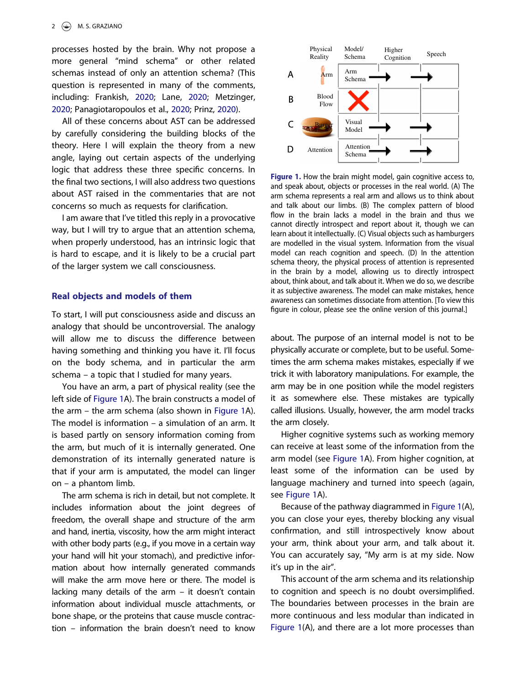<span id="page-2-0"></span>processes hosted by the brain. Why not propose a more general "mind schema" or other related schemas instead of only an attention schema? (This question is represented in many of the comments, including: Frankish, [2020](#page-9-0); Lane, [2020;](#page-9-0) Metzinger, [2020](#page-10-0); Panagiotaropoulos et al., [2020;](#page-10-0) Prinz, [2020](#page-10-0)).

All of these concerns about AST can be addressed by carefully considering the building blocks of the theory. Here I will explain the theory from a new angle, laying out certain aspects of the underlying logic that address these three specific concerns. In the final two sections, I will also address two questions about AST raised in the commentaries that are not concerns so much as requests for clarification.

I am aware that I've titled this reply in a provocative way, but I will try to argue that an attention schema, when properly understood, has an intrinsic logic that is hard to escape, and it is likely to be a crucial part of the larger system we call consciousness.

#### Real objects and models of them

To start, I will put consciousness aside and discuss an analogy that should be uncontroversial. The analogy will allow me to discuss the difference between having something and thinking you have it. I'll focus on the body schema, and in particular the arm schema – a topic that I studied for many years.

You have an arm, a part of physical reality (see the left side of Figure 1A). The brain constructs a model of the arm – the arm schema (also shown in Figure 1A). The model is information – a simulation of an arm. It is based partly on sensory information coming from the arm, but much of it is internally generated. One demonstration of its internally generated nature is that if your arm is amputated, the model can linger on – a phantom limb.

The arm schema is rich in detail, but not complete. It includes information about the joint degrees of freedom, the overall shape and structure of the arm and hand, inertia, viscosity, how the arm might interact with other body parts (e.g., if you move in a certain way your hand will hit your stomach), and predictive information about how internally generated commands will make the arm move here or there. The model is lacking many details of the arm – it doesn't contain information about individual muscle attachments, or bone shape, or the proteins that cause muscle contraction – information the brain doesn't need to know



Figure 1. How the brain might model, gain cognitive access to, and speak about, objects or processes in the real world. (A) The arm schema represents a real arm and allows us to think about and talk about our limbs. (B) The complex pattern of blood flow in the brain lacks a model in the brain and thus we cannot directly introspect and report about it, though we can learn about it intellectually. (C) Visual objects such as hamburgers are modelled in the visual system. Information from the visual model can reach cognition and speech. (D) In the attention schema theory, the physical process of attention is represented in the brain by a model, allowing us to directly introspect about, think about, and talk about it. When we do so, we describe it as subjective awareness. The model can make mistakes, hence awareness can sometimes dissociate from attention. [To view this figure in colour, please see the online version of this journal.]

about. The purpose of an internal model is not to be physically accurate or complete, but to be useful. Sometimes the arm schema makes mistakes, especially if we trick it with laboratory manipulations. For example, the arm may be in one position while the model registers it as somewhere else. These mistakes are typically called illusions. Usually, however, the arm model tracks the arm closely.

Higher cognitive systems such as working memory can receive at least some of the information from the arm model (see Figure 1A). From higher cognition, at least some of the information can be used by language machinery and turned into speech (again, see Figure 1A).

Because of the pathway diagrammed in Figure 1(A), you can close your eyes, thereby blocking any visual confirmation, and still introspectively know about your arm, think about your arm, and talk about it. You can accurately say, "My arm is at my side. Now it's up in the air".

This account of the arm schema and its relationship to cognition and speech is no doubt oversimplified. The boundaries between processes in the brain are more continuous and less modular than indicated in Figure 1(A), and there are a lot more processes than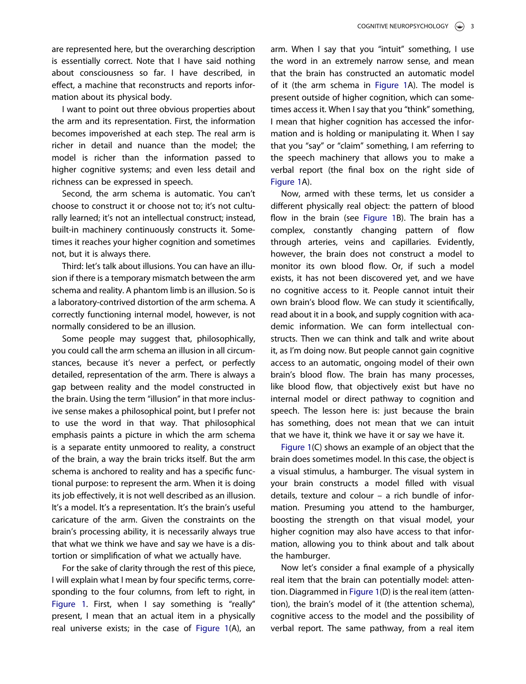are represented here, but the overarching description is essentially correct. Note that I have said nothing about consciousness so far. I have described, in effect, a machine that reconstructs and reports information about its physical body.

I want to point out three obvious properties about the arm and its representation. First, the information becomes impoverished at each step. The real arm is richer in detail and nuance than the model; the model is richer than the information passed to higher cognitive systems; and even less detail and richness can be expressed in speech.

Second, the arm schema is automatic. You can't choose to construct it or choose not to; it's not culturally learned; it's not an intellectual construct; instead, built-in machinery continuously constructs it. Sometimes it reaches your higher cognition and sometimes not, but it is always there.

Third: let's talk about illusions. You can have an illusion if there is a temporary mismatch between the arm schema and reality. A phantom limb is an illusion. So is a laboratory-contrived distortion of the arm schema. A correctly functioning internal model, however, is not normally considered to be an illusion.

Some people may suggest that, philosophically, you could call the arm schema an illusion in all circumstances, because it's never a perfect, or perfectly detailed, representation of the arm. There is always a gap between reality and the model constructed in the brain. Using the term "illusion" in that more inclusive sense makes a philosophical point, but I prefer not to use the word in that way. That philosophical emphasis paints a picture in which the arm schema is a separate entity unmoored to reality, a construct of the brain, a way the brain tricks itself. But the arm schema is anchored to reality and has a specific functional purpose: to represent the arm. When it is doing its job effectively, it is not well described as an illusion. It's a model. It's a representation. It's the brain's useful caricature of the arm. Given the constraints on the brain's processing ability, it is necessarily always true that what we think we have and say we have is a distortion or simplification of what we actually have.

For the sake of clarity through the rest of this piece, I will explain what I mean by four specific terms, corresponding to the four columns, from left to right, in [Figure 1.](#page-2-0) First, when I say something is "really" present, I mean that an actual item in a physically real universe exists; in the case of [Figure 1](#page-2-0)(A), an arm. When I say that you "intuit" something, I use the word in an extremely narrow sense, and mean that the brain has constructed an automatic model of it (the arm schema in [Figure 1](#page-2-0)A). The model is present outside of higher cognition, which can sometimes access it. When I say that you "think" something, I mean that higher cognition has accessed the information and is holding or manipulating it. When I say that you "say" or "claim" something, I am referring to the speech machinery that allows you to make a verbal report (the final box on the right side of [Figure 1A](#page-2-0)).

Now, armed with these terms, let us consider a different physically real object: the pattern of blood flow in the brain (see [Figure 1](#page-2-0)B). The brain has a complex, constantly changing pattern of flow through arteries, veins and capillaries. Evidently, however, the brain does not construct a model to monitor its own blood flow. Or, if such a model exists, it has not been discovered yet, and we have no cognitive access to it. People cannot intuit their own brain's blood flow. We can study it scientifically, read about it in a book, and supply cognition with academic information. We can form intellectual constructs. Then we can think and talk and write about it, as I'm doing now. But people cannot gain cognitive access to an automatic, ongoing model of their own brain's blood flow. The brain has many processes, like blood flow, that objectively exist but have no internal model or direct pathway to cognition and speech. The lesson here is: just because the brain has something, does not mean that we can intuit that we have it, think we have it or say we have it.

[Figure 1](#page-2-0)(C) shows an example of an object that the brain does sometimes model. In this case, the object is a visual stimulus, a hamburger. The visual system in your brain constructs a model filled with visual details, texture and colour – a rich bundle of information. Presuming you attend to the hamburger, boosting the strength on that visual model, your higher cognition may also have access to that information, allowing you to think about and talk about the hamburger.

Now let's consider a final example of a physically real item that the brain can potentially model: attention. Diagrammed in [Figure 1](#page-2-0)(D) is the real item (attention), the brain's model of it (the attention schema), cognitive access to the model and the possibility of verbal report. The same pathway, from a real item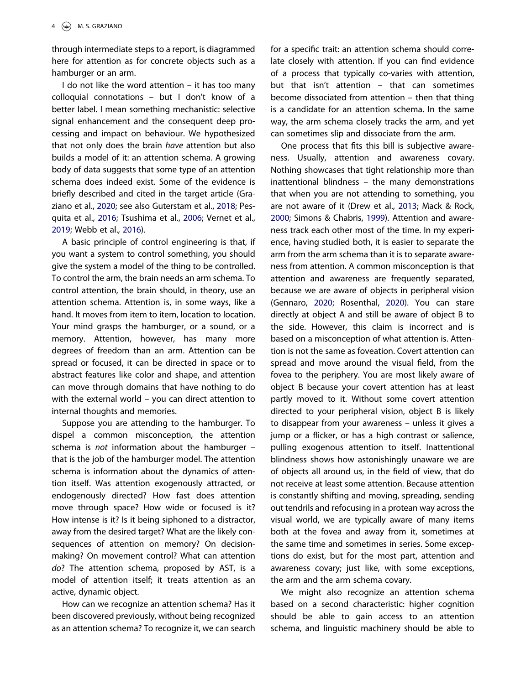<span id="page-4-0"></span>through intermediate steps to a report, is diagrammed here for attention as for concrete objects such as a hamburger or an arm.

I do not like the word attention – it has too many colloquial connotations – but I don't know of a better label. I mean something mechanistic: selective signal enhancement and the consequent deep processing and impact on behaviour. We hypothesized that not only does the brain have attention but also builds a model of it: an attention schema. A growing body of data suggests that some type of an attention schema does indeed exist. Some of the evidence is briefly described and cited in the target article (Graziano et al., [2020;](#page-9-0) see also Guterstam et al., [2018;](#page-9-0) Pesquita et al., [2016;](#page-10-0) Tsushima et al., [2006;](#page-10-0) Vernet et al., [2019](#page-10-0); Webb et al., [2016\)](#page-10-0).

A basic principle of control engineering is that, if you want a system to control something, you should give the system a model of the thing to be controlled. To control the arm, the brain needs an arm schema. To control attention, the brain should, in theory, use an attention schema. Attention is, in some ways, like a hand. It moves from item to item, location to location. Your mind grasps the hamburger, or a sound, or a memory. Attention, however, has many more degrees of freedom than an arm. Attention can be spread or focused, it can be directed in space or to abstract features like color and shape, and attention can move through domains that have nothing to do with the external world – you can direct attention to internal thoughts and memories.

Suppose you are attending to the hamburger. To dispel a common misconception, the attention schema is not information about the hamburger – that is the job of the hamburger model. The attention schema is information about the dynamics of attention itself. Was attention exogenously attracted, or endogenously directed? How fast does attention move through space? How wide or focused is it? How intense is it? Is it being siphoned to a distractor, away from the desired target? What are the likely consequences of attention on memory? On decisionmaking? On movement control? What can attention do? The attention schema, proposed by AST, is a model of attention itself; it treats attention as an active, dynamic object.

How can we recognize an attention schema? Has it been discovered previously, without being recognized as an attention schema? To recognize it, we can search for a specific trait: an attention schema should correlate closely with attention. If you can find evidence of a process that typically co-varies with attention, but that isn't attention – that can sometimes become dissociated from attention – then that thing is a candidate for an attention schema. In the same way, the arm schema closely tracks the arm, and yet can sometimes slip and dissociate from the arm.

One process that fits this bill is subjective awareness. Usually, attention and awareness covary. Nothing showcases that tight relationship more than inattentional blindness – the many demonstrations that when you are not attending to something, you are not aware of it (Drew et al., [2013;](#page-9-0) Mack & Rock, [2000](#page-9-0); Simons & Chabris, [1999](#page-10-0)). Attention and awareness track each other most of the time. In my experience, having studied both, it is easier to separate the arm from the arm schema than it is to separate awareness from attention. A common misconception is that attention and awareness are frequently separated, because we are aware of objects in peripheral vision (Gennaro, [2020](#page-9-0); Rosenthal, [2020\)](#page-10-0). You can stare directly at object A and still be aware of object B to the side. However, this claim is incorrect and is based on a misconception of what attention is. Attention is not the same as foveation. Covert attention can spread and move around the visual field, from the fovea to the periphery. You are most likely aware of object B because your covert attention has at least partly moved to it. Without some covert attention directed to your peripheral vision, object B is likely to disappear from your awareness – unless it gives a jump or a flicker, or has a high contrast or salience, pulling exogenous attention to itself. Inattentional blindness shows how astonishingly unaware we are of objects all around us, in the field of view, that do not receive at least some attention. Because attention is constantly shifting and moving, spreading, sending out tendrils and refocusing in a protean way across the visual world, we are typically aware of many items both at the fovea and away from it, sometimes at the same time and sometimes in series. Some exceptions do exist, but for the most part, attention and awareness covary; just like, with some exceptions, the arm and the arm schema covary.

We might also recognize an attention schema based on a second characteristic: higher cognition should be able to gain access to an attention schema, and linguistic machinery should be able to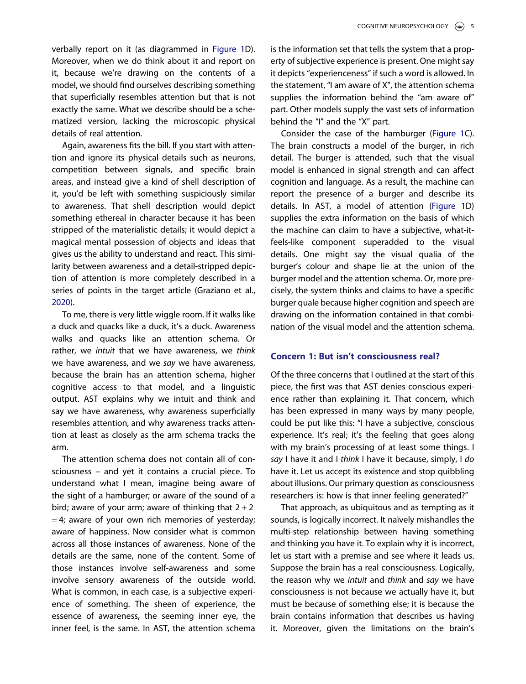verbally report on it (as diagrammed in [Figure 1D](#page-2-0)). Moreover, when we do think about it and report on it, because we're drawing on the contents of a model, we should find ourselves describing something that superficially resembles attention but that is not exactly the same. What we describe should be a schematized version, lacking the microscopic physical details of real attention.

Again, awareness fits the bill. If you start with attention and ignore its physical details such as neurons, competition between signals, and specific brain areas, and instead give a kind of shell description of it, you'd be left with something suspiciously similar to awareness. That shell description would depict something ethereal in character because it has been stripped of the materialistic details; it would depict a magical mental possession of objects and ideas that gives us the ability to understand and react. This similarity between awareness and a detail-stripped depiction of attention is more completely described in a series of points in the target article (Graziano et al., [2020](#page-9-0)).

To me, there is very little wiggle room. If it walks like a duck and quacks like a duck, it's a duck. Awareness walks and quacks like an attention schema. Or rather, we *intuit* that we have awareness, we think we have awareness, and we say we have awareness, because the brain has an attention schema, higher cognitive access to that model, and a linguistic output. AST explains why we intuit and think and say we have awareness, why awareness superficially resembles attention, and why awareness tracks attention at least as closely as the arm schema tracks the arm.

The attention schema does not contain all of consciousness – and yet it contains a crucial piece. To understand what I mean, imagine being aware of the sight of a hamburger; or aware of the sound of a bird; aware of your arm; aware of thinking that  $2 + 2$  $= 4$ ; aware of your own rich memories of yesterday; aware of happiness. Now consider what is common across all those instances of awareness. None of the details are the same, none of the content. Some of those instances involve self-awareness and some involve sensory awareness of the outside world. What is common, in each case, is a subjective experience of something. The sheen of experience, the essence of awareness, the seeming inner eye, the inner feel, is the same. In AST, the attention schema

is the information set that tells the system that a property of subjective experience is present. One might say it depicts "experienceness" if such a word is allowed. In the statement, "I am aware of X", the attention schema supplies the information behind the "am aware of" part. Other models supply the vast sets of information behind the "I" and the "X" part.

Consider the case of the hamburger ([Figure 1](#page-2-0)C). The brain constructs a model of the burger, in rich detail. The burger is attended, such that the visual model is enhanced in signal strength and can affect cognition and language. As a result, the machine can report the presence of a burger and describe its details. In AST, a model of attention [\(Figure 1D](#page-2-0)) supplies the extra information on the basis of which the machine can claim to have a subjective, what-itfeels-like component superadded to the visual details. One might say the visual qualia of the burger's colour and shape lie at the union of the burger model and the attention schema. Or, more precisely, the system thinks and claims to have a specific burger quale because higher cognition and speech are drawing on the information contained in that combination of the visual model and the attention schema.

## Concern 1: But isn't consciousness real?

Of the three concerns that I outlined at the start of this piece, the first was that AST denies conscious experience rather than explaining it. That concern, which has been expressed in many ways by many people, could be put like this: "I have a subjective, conscious experience. It's real; it's the feeling that goes along with my brain's processing of at least some things. I say I have it and I think I have it because, simply, I do have it. Let us accept its existence and stop quibbling about illusions. Our primary question as consciousness researchers is: how is that inner feeling generated?"

That approach, as ubiquitous and as tempting as it sounds, is logically incorrect. It naïvely mishandles the multi-step relationship between having something and thinking you have it. To explain why it is incorrect, let us start with a premise and see where it leads us. Suppose the brain has a real consciousness. Logically, the reason why we intuit and think and say we have consciousness is not because we actually have it, but must be because of something else; it is because the brain contains information that describes us having it. Moreover, given the limitations on the brain's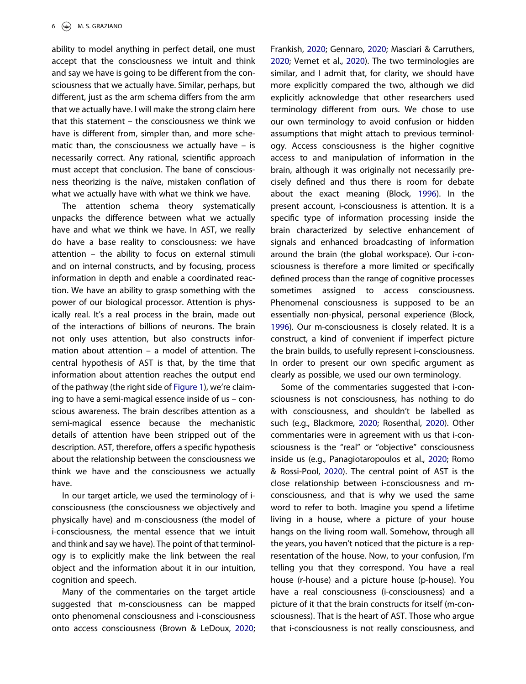<span id="page-6-0"></span>ability to model anything in perfect detail, one must accept that the consciousness we intuit and think and say we have is going to be different from the consciousness that we actually have. Similar, perhaps, but different, just as the arm schema differs from the arm that we actually have. I will make the strong claim here that this statement – the consciousness we think we have is different from, simpler than, and more schematic than, the consciousness we actually have – is necessarily correct. Any rational, scientific approach must accept that conclusion. The bane of consciousness theorizing is the naïve, mistaken conflation of what we actually have with what we think we have.

The attention schema theory systematically unpacks the difference between what we actually have and what we think we have. In AST, we really do have a base reality to consciousness: we have attention – the ability to focus on external stimuli and on internal constructs, and by focusing, process information in depth and enable a coordinated reaction. We have an ability to grasp something with the power of our biological processor. Attention is physically real. It's a real process in the brain, made out of the interactions of billions of neurons. The brain not only uses attention, but also constructs information about attention – a model of attention. The central hypothesis of AST is that, by the time that information about attention reaches the output end of the pathway (the right side of [Figure 1](#page-2-0)), we're claiming to have a semi-magical essence inside of us – conscious awareness. The brain describes attention as a semi-magical essence because the mechanistic details of attention have been stripped out of the description. AST, therefore, offers a specific hypothesis about the relationship between the consciousness we think we have and the consciousness we actually have.

In our target article, we used the terminology of iconsciousness (the consciousness we objectively and physically have) and m-consciousness (the model of i-consciousness, the mental essence that we intuit and think and say we have). The point of that terminology is to explicitly make the link between the real object and the information about it in our intuition, cognition and speech.

Many of the commentaries on the target article suggested that m-consciousness can be mapped onto phenomenal consciousness and i-consciousness onto access consciousness (Brown & LeDoux, [2020;](#page-9-0) Frankish, [2020](#page-9-0); Gennaro, [2020](#page-9-0); Masciari & Carruthers, [2020](#page-10-0); Vernet et al., [2020\)](#page-10-0). The two terminologies are similar, and I admit that, for clarity, we should have more explicitly compared the two, although we did explicitly acknowledge that other researchers used terminology different from ours. We chose to use our own terminology to avoid confusion or hidden assumptions that might attach to previous terminology. Access consciousness is the higher cognitive access to and manipulation of information in the brain, although it was originally not necessarily precisely defined and thus there is room for debate about the exact meaning (Block, [1996\)](#page-9-0). In the present account, i-consciousness is attention. It is a specific type of information processing inside the brain characterized by selective enhancement of signals and enhanced broadcasting of information around the brain (the global workspace). Our i-consciousness is therefore a more limited or specifically defined process than the range of cognitive processes sometimes assigned to access consciousness. Phenomenal consciousness is supposed to be an essentially non-physical, personal experience (Block, [1996](#page-9-0)). Our m-consciousness is closely related. It is a construct, a kind of convenient if imperfect picture the brain builds, to usefully represent i-consciousness. In order to present our own specific argument as clearly as possible, we used our own terminology.

Some of the commentaries suggested that i-consciousness is not consciousness, has nothing to do with consciousness, and shouldn't be labelled as such (e.g., Blackmore, [2020](#page-9-0); Rosenthal, [2020\)](#page-10-0). Other commentaries were in agreement with us that i-consciousness is the "real" or "objective" consciousness inside us (e.g., Panagiotaropoulos et al., [2020;](#page-10-0) Romo & Rossi-Pool, [2020](#page-10-0)). The central point of AST is the close relationship between i-consciousness and mconsciousness, and that is why we used the same word to refer to both. Imagine you spend a lifetime living in a house, where a picture of your house hangs on the living room wall. Somehow, through all the years, you haven't noticed that the picture is a representation of the house. Now, to your confusion, I'm telling you that they correspond. You have a real house (r-house) and a picture house (p-house). You have a real consciousness (i-consciousness) and a picture of it that the brain constructs for itself (m-consciousness). That is the heart of AST. Those who argue that i-consciousness is not really consciousness, and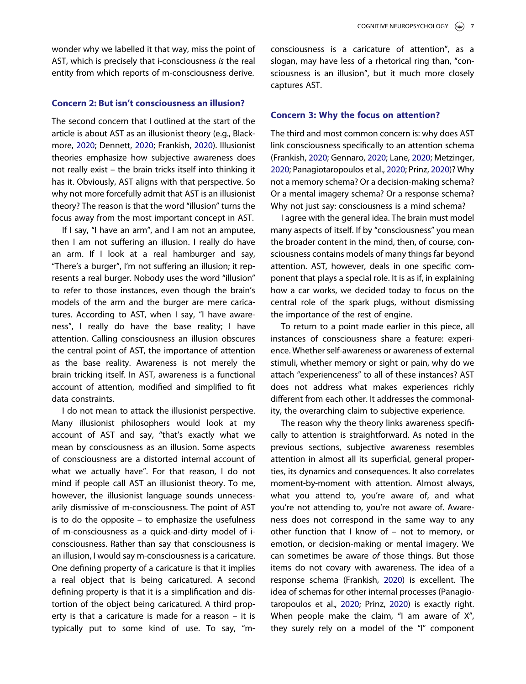wonder why we labelled it that way, miss the point of AST, which is precisely that i-consciousness is the real entity from which reports of m-consciousness derive.

### Concern 2: But isn't consciousness an illusion?

The second concern that I outlined at the start of the article is about AST as an illusionist theory (e.g., Blackmore, [2020;](#page-9-0) Dennett, [2020;](#page-9-0) Frankish, [2020\)](#page-9-0). Illusionist theories emphasize how subjective awareness does not really exist – the brain tricks itself into thinking it has it. Obviously, AST aligns with that perspective. So why not more forcefully admit that AST is an illusionist theory? The reason is that the word "illusion" turns the focus away from the most important concept in AST.

If I say, "I have an arm", and I am not an amputee, then I am not suffering an illusion. I really do have an arm. If I look at a real hamburger and say, "There's a burger", I'm not suffering an illusion; it represents a real burger. Nobody uses the word "illusion" to refer to those instances, even though the brain's models of the arm and the burger are mere caricatures. According to AST, when I say, "I have awareness", I really do have the base reality; I have attention. Calling consciousness an illusion obscures the central point of AST, the importance of attention as the base reality. Awareness is not merely the brain tricking itself. In AST, awareness is a functional account of attention, modified and simplified to fit data constraints.

I do not mean to attack the illusionist perspective. Many illusionist philosophers would look at my account of AST and say, "that's exactly what we mean by consciousness as an illusion. Some aspects of consciousness are a distorted internal account of what we actually have". For that reason, I do not mind if people call AST an illusionist theory. To me, however, the illusionist language sounds unnecessarily dismissive of m-consciousness. The point of AST is to do the opposite – to emphasize the usefulness of m-consciousness as a quick-and-dirty model of iconsciousness. Rather than say that consciousness is an illusion, I would say m-consciousness is a caricature. One defining property of a caricature is that it implies a real object that is being caricatured. A second defining property is that it is a simplification and distortion of the object being caricatured. A third property is that a caricature is made for a reason – it is typically put to some kind of use. To say, "mconsciousness is a caricature of attention", as a slogan, may have less of a rhetorical ring than, "consciousness is an illusion", but it much more closely captures AST.

#### Concern 3: Why the focus on attention?

The third and most common concern is: why does AST link consciousness specifically to an attention schema (Frankish, [2020](#page-9-0); Gennaro, [2020](#page-9-0); Lane, [2020;](#page-9-0) Metzinger, [2020](#page-10-0); Panagiotaropoulos et al., [2020](#page-10-0); Prinz, [2020\)](#page-10-0)? Why not a memory schema? Or a decision-making schema? Or a mental imagery schema? Or a response schema? Why not just say: consciousness is a mind schema?

I agree with the general idea. The brain must model many aspects of itself. If by "consciousness" you mean the broader content in the mind, then, of course, consciousness contains models of many things far beyond attention. AST, however, deals in one specific component that plays a special role. It is as if, in explaining how a car works, we decided today to focus on the central role of the spark plugs, without dismissing the importance of the rest of engine.

To return to a point made earlier in this piece, all instances of consciousness share a feature: experience. Whether self-awareness or awareness of external stimuli, whether memory or sight or pain, why do we attach "experienceness" to all of these instances? AST does not address what makes experiences richly different from each other. It addresses the commonality, the overarching claim to subjective experience.

The reason why the theory links awareness specifically to attention is straightforward. As noted in the previous sections, subjective awareness resembles attention in almost all its superficial, general properties, its dynamics and consequences. It also correlates moment-by-moment with attention. Almost always, what you attend to, you're aware of, and what you're not attending to, you're not aware of. Awareness does not correspond in the same way to any other function that I know of – not to memory, or emotion, or decision-making or mental imagery. We can sometimes be aware of those things. But those items do not covary with awareness. The idea of a response schema (Frankish, [2020](#page-9-0)) is excellent. The idea of schemas for other internal processes (Panagiotaropoulos et al., [2020](#page-10-0); Prinz, [2020\)](#page-10-0) is exactly right. When people make the claim, "I am aware of X", they surely rely on a model of the "I" component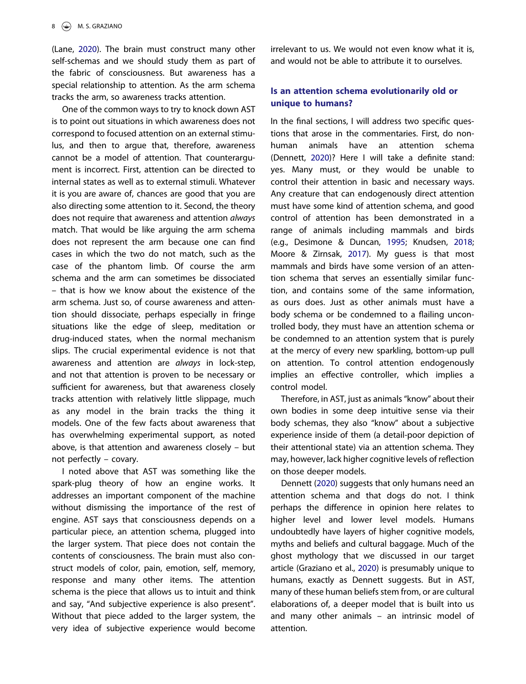<span id="page-8-0"></span>(Lane, [2020](#page-9-0)). The brain must construct many other self-schemas and we should study them as part of the fabric of consciousness. But awareness has a special relationship to attention. As the arm schema tracks the arm, so awareness tracks attention.

One of the common ways to try to knock down AST is to point out situations in which awareness does not correspond to focused attention on an external stimulus, and then to argue that, therefore, awareness cannot be a model of attention. That counterargument is incorrect. First, attention can be directed to internal states as well as to external stimuli. Whatever it is you are aware of, chances are good that you are also directing some attention to it. Second, the theory does not require that awareness and attention always match. That would be like arguing the arm schema does not represent the arm because one can find cases in which the two do not match, such as the case of the phantom limb. Of course the arm schema and the arm can sometimes be dissociated – that is how we know about the existence of the arm schema. Just so, of course awareness and attention should dissociate, perhaps especially in fringe situations like the edge of sleep, meditation or drug-induced states, when the normal mechanism slips. The crucial experimental evidence is not that awareness and attention are always in lock-step, and not that attention is proven to be necessary or sufficient for awareness, but that awareness closely tracks attention with relatively little slippage, much as any model in the brain tracks the thing it models. One of the few facts about awareness that has overwhelming experimental support, as noted above, is that attention and awareness closely – but not perfectly – covary.

I noted above that AST was something like the spark-plug theory of how an engine works. It addresses an important component of the machine without dismissing the importance of the rest of engine. AST says that consciousness depends on a particular piece, an attention schema, plugged into the larger system. That piece does not contain the contents of consciousness. The brain must also construct models of color, pain, emotion, self, memory, response and many other items. The attention schema is the piece that allows us to intuit and think and say, "And subjective experience is also present". Without that piece added to the larger system, the very idea of subjective experience would become

irrelevant to us. We would not even know what it is, and would not be able to attribute it to ourselves.

## Is an attention schema evolutionarily old or unique to humans?

In the final sections, I will address two specific questions that arose in the commentaries. First, do nonhuman animals have an attention schema (Dennett, [2020](#page-9-0))? Here I will take a definite stand: yes. Many must, or they would be unable to control their attention in basic and necessary ways. Any creature that can endogenously direct attention must have some kind of attention schema, and good control of attention has been demonstrated in a range of animals including mammals and birds (e.g., Desimone & Duncan, [1995;](#page-9-0) Knudsen, [2018](#page-9-0); Moore & Zirnsak, [2017\)](#page-10-0). My guess is that most mammals and birds have some version of an attention schema that serves an essentially similar function, and contains some of the same information, as ours does. Just as other animals must have a body schema or be condemned to a flailing uncontrolled body, they must have an attention schema or be condemned to an attention system that is purely at the mercy of every new sparkling, bottom-up pull on attention. To control attention endogenously implies an effective controller, which implies a control model.

Therefore, in AST, just as animals "know" about their own bodies in some deep intuitive sense via their body schemas, they also "know" about a subjective experience inside of them (a detail-poor depiction of their attentional state) via an attention schema. They may, however, lack higher cognitive levels of reflection on those deeper models.

Dennett ([2020](#page-9-0)) suggests that only humans need an attention schema and that dogs do not. I think perhaps the difference in opinion here relates to higher level and lower level models. Humans undoubtedly have layers of higher cognitive models, myths and beliefs and cultural baggage. Much of the ghost mythology that we discussed in our target article (Graziano et al., [2020](#page-9-0)) is presumably unique to humans, exactly as Dennett suggests. But in AST, many of these human beliefs stem from, or are cultural elaborations of, a deeper model that is built into us and many other animals – an intrinsic model of attention.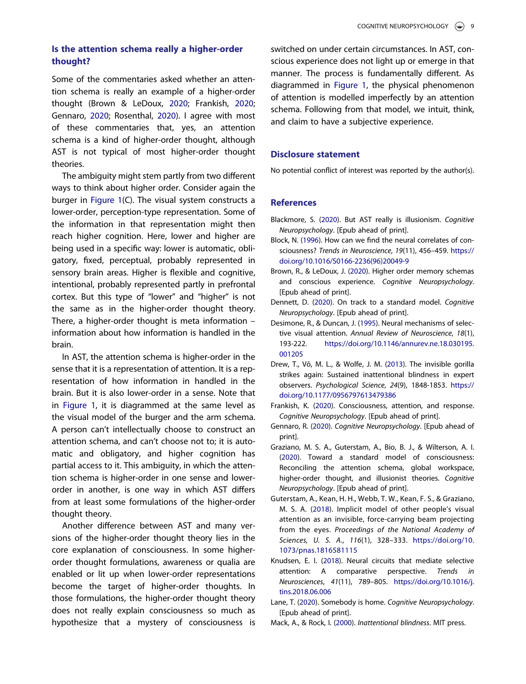# <span id="page-9-0"></span>Is the attention schema really a higher-order thought?

Some of the commentaries asked whether an attention schema is really an example of a higher-order thought (Brown & LeDoux, 2020; Frankish, 2020; Gennaro, 2020; Rosenthal, [2020\)](#page-10-0). I agree with most of these commentaries that, yes, an attention schema is a kind of higher-order thought, although AST is not typical of most higher-order thought theories.

The ambiguity might stem partly from two different ways to think about higher order. Consider again the burger in [Figure 1\(](#page-2-0)C). The visual system constructs a lower-order, perception-type representation. Some of the information in that representation might then reach higher cognition. Here, lower and higher are being used in a specific way: lower is automatic, obligatory, fixed, perceptual, probably represented in sensory brain areas. Higher is flexible and cognitive, intentional, probably represented partly in prefrontal cortex. But this type of "lower" and "higher" is not the same as in the higher-order thought theory. There, a higher-order thought is meta information – information about how information is handled in the brain.

In AST, the attention schema is higher-order in the sense that it is a representation of attention. It is a representation of how information in handled in the brain. But it is also lower-order in a sense. Note that in [Figure 1,](#page-2-0) it is diagrammed at the same level as the visual model of the burger and the arm schema. A person can't intellectually choose to construct an attention schema, and can't choose not to; it is automatic and obligatory, and higher cognition has partial access to it. This ambiguity, in which the attention schema is higher-order in one sense and lowerorder in another, is one way in which AST differs from at least some formulations of the higher-order thought theory.

Another difference between AST and many versions of the higher-order thought theory lies in the core explanation of consciousness. In some higherorder thought formulations, awareness or qualia are enabled or lit up when lower-order representations become the target of higher-order thoughts. In those formulations, the higher-order thought theory does not really explain consciousness so much as hypothesize that a mystery of consciousness is switched on under certain circumstances. In AST, conscious experience does not light up or emerge in that manner. The process is fundamentally different. As diagrammed in [Figure 1,](#page-2-0) the physical phenomenon of attention is modelled imperfectly by an attention schema. Following from that model, we intuit, think, and claim to have a subjective experience.

### Disclosure statement

No potential conflict of interest was reported by the author(s).

### **References**

- Blackmore, S. [\(2020\)](#page-1-0). But AST really is illusionism. Cognitive Neuropsychology. [Epub ahead of print].
- Block, N. ([1996](#page-6-0)). How can we find the neural correlates of consciousness? Trends in Neuroscience, 19(11), 456–459. [https://](https://doi.org/10.1016/S0166-2236(96)20049-9) [doi.org/10.1016/S0166-2236\(96\)20049-9](https://doi.org/10.1016/S0166-2236(96)20049-9)
- Brown, R., & LeDoux, J. ([2020](#page-1-0)). Higher order memory schemas and conscious experience. Cognitive Neuropsychology. [Epub ahead of print].
- Dennett, D. [\(2020\)](#page-1-0). On track to a standard model. Cognitive Neuropsychology. [Epub ahead of print].
- Desimone, R., & Duncan, J. [\(1995\)](#page-8-0). Neural mechanisms of selective visual attention. Annual Review of Neuroscience, 18(1), 193-222. [https://doi.org/10.1146/annurev.ne.18.030195.](https://doi.org/10.1146/annurev.ne.18.030195.001205) [001205](https://doi.org/10.1146/annurev.ne.18.030195.001205)
- Drew, T., Võ, M. L., & Wolfe, J. M. ([2013\)](#page-4-0). The invisible gorilla strikes again: Sustained inattentional blindness in expert observers. Psychological Science, 24(9), 1848-1853. [https://](https://doi.org/10.1177/0956797613479386) [doi.org/10.1177/0956797613479386](https://doi.org/10.1177/0956797613479386)
- Frankish, K. [\(2020\)](#page-1-0). Consciousness, attention, and response. Cognitive Neuropsychology. [Epub ahead of print].
- Gennaro, R. [\(2020\)](#page-1-0). Cognitive Neuropsychology. [Epub ahead of print].
- Graziano, M. S. A., Guterstam, A., Bio, B. J., & Wilterson, A. I. [\(2020\)](#page-1-0). Toward a standard model of consciousness: Reconciling the attention schema, global workspace, higher-order thought, and illusionist theories. Cognitive Neuropsychology. [Epub ahead of print].
- Guterstam, A., Kean, H. H., Webb, T. W., Kean, F. S., & Graziano, M. S. A. ([2018\)](#page-4-0). Implicit model of other people's visual attention as an invisible, force-carrying beam projecting from the eyes. Proceedings of the National Academy of Sciences, U. S. A., 116(1), 328–333. [https://doi.org/10.](https://doi.org/10.1073/pnas.1816581115) [1073/pnas.1816581115](https://doi.org/10.1073/pnas.1816581115)
- Knudsen, E. I. ([2018\)](#page-8-0). Neural circuits that mediate selective attention: A comparative perspective. Trends in Neurosciences, 41(11), 789–805. [https://doi.org/10.1016/j.](https://doi.org/10.1016/j.tins.2018.06.006) [tins.2018.06.006](https://doi.org/10.1016/j.tins.2018.06.006)
- Lane, T. [\(2020](#page-1-0)). Somebody is home. Cognitive Neuropsychology. [Epub ahead of print].
- Mack, A., & Rock, I. [\(2000\)](#page-4-0). Inattentional blindness. MIT press.